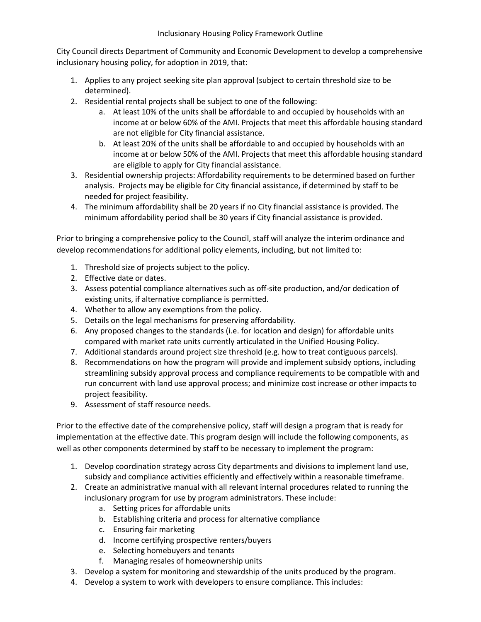City Council directs Department of Community and Economic Development to develop a comprehensive inclusionary housing policy, for adoption in 2019, that:

- 1. Applies to any project seeking site plan approval (subject to certain threshold size to be determined).
- 2. Residential rental projects shall be subject to one of the following:
	- a. At least 10% of the units shall be affordable to and occupied by households with an income at or below 60% of the AMI. Projects that meet this affordable housing standard are not eligible for City financial assistance.
	- b. At least 20% of the units shall be affordable to and occupied by households with an income at or below 50% of the AMI. Projects that meet this affordable housing standard are eligible to apply for City financial assistance.
- 3. Residential ownership projects: Affordability requirements to be determined based on further analysis. Projects may be eligible for City financial assistance, if determined by staff to be needed for project feasibility.
- 4. The minimum affordability shall be 20 years if no City financial assistance is provided. The minimum affordability period shall be 30 years if City financial assistance is provided.

Prior to bringing a comprehensive policy to the Council, staff will analyze the interim ordinance and develop recommendations for additional policy elements, including, but not limited to:

- 1. Threshold size of projects subject to the policy.
- 2. Effective date or dates.
- 3. Assess potential compliance alternatives such as off-site production, and/or dedication of existing units, if alternative compliance is permitted.
- 4. Whether to allow any exemptions from the policy.
- 5. Details on the legal mechanisms for preserving affordability.
- 6. Any proposed changes to the standards (i.e. for location and design) for affordable units compared with market rate units currently articulated in the Unified Housing Policy.
- 7. Additional standards around project size threshold (e.g. how to treat contiguous parcels).
- 8. Recommendations on how the program will provide and implement subsidy options, including streamlining subsidy approval process and compliance requirements to be compatible with and run concurrent with land use approval process; and minimize cost increase or other impacts to project feasibility.
- 9. Assessment of staff resource needs.

Prior to the effective date of the comprehensive policy, staff will design a program that is ready for implementation at the effective date. This program design will include the following components, as well as other components determined by staff to be necessary to implement the program:

- 1. Develop coordination strategy across City departments and divisions to implement land use, subsidy and compliance activities efficiently and effectively within a reasonable timeframe.
- 2. Create an administrative manual with all relevant internal procedures related to running the inclusionary program for use by program administrators. These include:
	- a. Setting prices for affordable units
	- b. Establishing criteria and process for alternative compliance
	- c. Ensuring fair marketing
	- d. Income certifying prospective renters/buyers
	- e. Selecting homebuyers and tenants
	- f. Managing resales of homeownership units
- 3. Develop a system for monitoring and stewardship of the units produced by the program.
- 4. Develop a system to work with developers to ensure compliance. This includes: